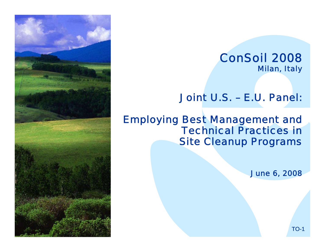

Joint U.S. – E.U. Panel:

Employing Best Management and Technical Practices in Site Cleanup Programs

June 6, 2008

TO-1

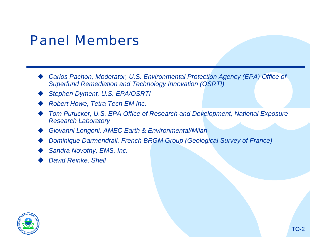### Panel Members

- ♦ *Carlos Pachon, Moderator, U.S. Environmental Protection Agency (EPA) Office of Superfund Remediation and Technology Innovation (OSRTI)*
- *Stephen Dyment, U.S. EPA/OSRTI*
- *Robert Howe, Tetra Tech EM Inc.*
- ◆ Tom Purucker, U.S. EPA Office of Research and Development, National Exposure *Research Laboratory*

TO-2

- ♦ *Giovanni Longoni, AMEC Earth & Environmental/Milan*
- $\blacklozenge$ *Dominique Darmendrail, French BRGM Group (Geological Survey of France)*
- ♦ *Sandra Novotny, EMS, Inc.*
- ♦ *David Reinke, Shell*

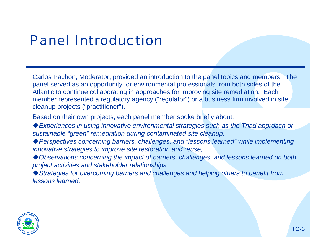# Panel Introduction

Carlos Pachon, Moderator, provided an introduction to the panel topics and members. The panel served as an opportunity for environmental professionals from both sides of the Atlantic to continue collaborating in approaches for improving site remediation. Each member represented a regulatory agency ("regulator") or a business firm involved in site cleanup projects ("practitioner").

Based on their own projects, each panel member spoke briefly about:

*Experiences in using innovative environmental strategies such as the Triad approach or sustainable "green" remediation during contaminated site cleanup,*

- *Perspectives concerning barriers, challenges, and "lessons learned" while implementing innovative strategies to improve site restoration and reuse,*
- *project activities and stakeholder relationships, Observations concerning the impact of barriers, challenges, and lessons learned on both*

*lessons learned.* ◆ Strategies for overcoming barriers and challenges and helping others to benefit from

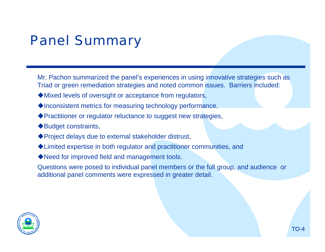# Panel Summary

Mr. Pachon summarized the panel's experiences in using innovative strategies such as Triad or green remediation strategies and noted common issues. Barriers included:

- Mixed levels of oversight or acceptance from regulators,
- $\blacklozenge$  Inconsistent metrics for measuring technology performance,
- Practitioner or regulator reluctance to suggest new strategies,
- ◆Budget constraints,
- ◆ Project delays due to external stakeholder distrust,
- Limited expertise in both regulator and practitioner communities, and
- ◆ Need for improved field and management tools.

Questions were posed to individual panel members or the full group, and audience or additional panel comments were expressed in greater detail.

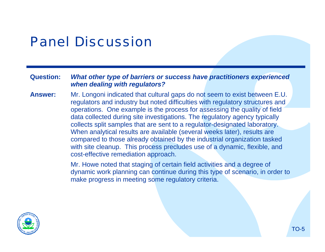#### **Question:** *What other type of barriers or success have practitioners experienced when dealing with regulators?*

**Answer:**Mr. Longoni indicated that cultural gaps do not seem to exist between E.U. regulators and industry but noted difficulties with regulatory structures and operations. One example is the process for assessing the quality of field data collected during site investigations. The regulatory agency typically collects split samples that are sent to a regulator-designated laboratory. When analytical results are available (several weeks later), results are compared to those already obtained by the industrial organization tasked with site cleanup. This process precludes use of a dynamic, flexible, and cost-effective remediation approach.

> Mr. Howe noted that staging of certain field activities and a degree of dynamic work planning can continue during this type of scenario, in order to make progress in meeting some regulatory criteria.



TO-5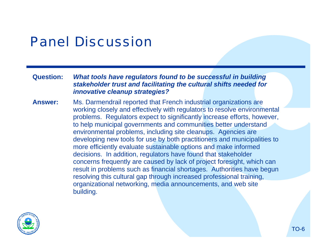**Question:** *What tools have regulators found to be successful in building stakeholder trust and facilitating the cultural shifts needed for innovative cleanup strategies?* 

**Answer:**building. Ms. Darmendrail reported that French industrial organizations are working closely and effectively with regulators to resolve environmental problems. Regulators expect to significantly increase efforts, however, to help municipal governments and communities better understand environmental problems, including site cleanups. Agencies are developing new tools for use by both practitioners and municipalities to more efficiently evaluate sustainable options and make informed decisions. In addition, regulators have found that stakeholder concerns frequently are caused by lack of project foresight, which can result in problems such as financial shortages. Authorities have begun resolving this cultural gap through increased professional training, organizational networking, media announcements, and web site

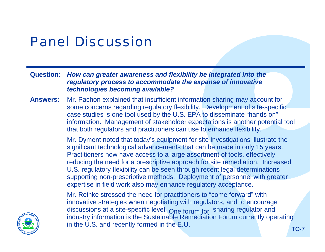**Question:** *How can greater awareness and flexibility be integrated into the regulatory process to accommodate the expanse of innovative technologies becoming available?* 

**Answers:**Mr. Pachon explained that insufficient information sharing may account for some concerns regarding regulatory flexibility. Development of site-specific case studies is one tool used by the U.S. EPA to disseminate "hands on" information. Management of stakeholder expectations is another potential tool that both regulators and practitioners can use to enhance flexibility.

> Mr. Dyment noted that today's equipment for site investigations illustrate the significant technological advancements that can be made in only 15 years. Practitioners now have access to a large assortment of tools, effectively reducing the need for a prescriptive approach for site remediation. Increased U.S. regulatory flexibility can be seen through recent legal determinations supporting non-prescriptive methods. Deployment of personnel with greater expertise in field work also may enhance regulatory acceptance.

Mr. Reinke stressed the need for practitioners to "come forward" with innovative strategies when negotiating with regulators, and to encourage discussions at a site-specific level. One forum for sharing regulator and industry information is the Sustainable Remediation Forum currently operating in the U.S. and recently formed in the E.U.

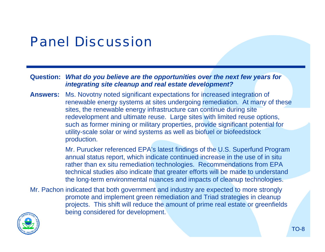**Question:** *What do you believe are the opportunities over the next few years for integrating site cleanup and real estate development?* 

**Answers:** Ms. Novotny noted significant expectations for increased integration of renewable energy systems at sites undergoing remediation. At many of these sites, the renewable energy infrastructure can continue during site redevelopment and ultimate reuse. Large sites with limited reuse options, such as former mining or military properties, provide significant potential for utility-scale solar or wind systems as well as biofuel or biofeedstock production.

> Mr. Purucker referenced EPA's latest findings of the U.S. Superfund Program annual status report, which indicate continued increase in the use of in situ rather than ex situ remediation technologies. Recommendations from EPA technical studies also indicate that greater efforts will be made to understand the long-term environmental nuances and impacts of cleanup technologies.

Mr. Pachon indicated that both government and industry are expected to more strongly being considered for development. promote and implement green remediation and Triad strategies in cleanup projects. This shift will reduce the amount of prime real estate or greenfields

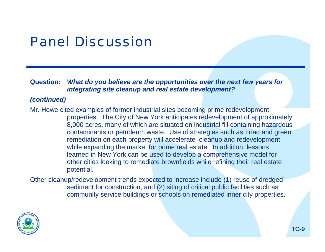**Question:** *What do you believe are the opportunities over the next few years for integrating site cleanup and real estate development?* 

#### *(continued)*

Mr. Howe cited examples of former industrial sites becoming prime redevelopment properties. The City of New York anticipates redevelopment of approximately 8,000 acres, many of which are situated on industrial fill containing hazardous contaminants or petroleum waste. Use of strategies such as Triad and green remediation on each property will accelerate cleanup and redevelopment while expanding the market for prime real estate. In addition, lessons learned in New York can be used to develop a comprehensive model for other cities looking to remediate brownfields while refining their real estate potential.

Other cleanup/redevelopment trends expected to increase include (1) reuse of dredged sediment for construction, and (2) siting of critical public facilities such as community service buildings or schools on remediated inner city properties.